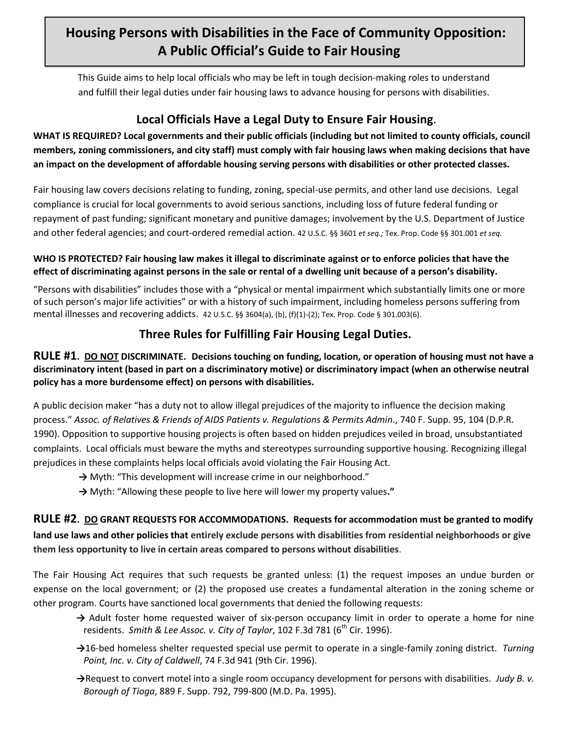# **Housing Persons with Disabilities in the Face of Community Opposition: A Public Official's Guide to Fair Housing**

This Guide aims to help local officials who may be left in tough decision-making roles to understand and fulfill their legal duties under fair housing laws to advance housing for persons with disabilities.

## **Local Officials Have a Legal Duty to Ensure Fair Housing**.

**WHAT IS REQUIRED? Local governments and their public officials (including but not limited to county officials, council members, zoning commissioners, and city staff) must comply with fair housing laws when making decisions that have an impact on the development of affordable housing serving persons with disabilities or other protected classes.** 

Fair housing law covers decisions relating to funding, zoning, special-use permits, and other land use decisions. Legal compliance is crucial for local governments to avoid serious sanctions, including loss of future federal funding or repayment of past funding; significant monetary and punitive damages; involvement by the U.S. Department of Justice and other federal agencies; and court-ordered remedial action. 42 U.S.C. §§ 3601 *et seq.;* Tex. Prop. Code §§ 301.001 *et seq.*

#### **WHO IS PROTECTED? Fair housing law makes it illegal to discriminate against or to enforce policies that have the effect of discriminating against persons in the sale or rental of a dwelling unit because of a person's disability.**

"Persons with disabilities" includes those with a "physical or mental impairment which substantially limits one or more of such person's major life activities" or with a history of such impairment, including homeless persons suffering from mental illnesses and recovering addicts. 42 U.S.C. §§ 3604(a), (b), (f)(1)-(2); Tex. Prop. Code § 301.003(6).

### **Three Rules for Fulfilling Fair Housing Legal Duties.**

#### **RULE #1. DO NOT DISCRIMINATE. Decisions touching on funding, location, or operation of housing must not have a discriminatory intent (based in part on a discriminatory motive) or discriminatory impact (when an otherwise neutral policy has a more burdensome effect) on persons with disabilities.**

A public decision maker "has a duty not to allow illegal prejudices of the majority to influence the decision making process." *Assoc. of Relatives & Friends of AIDS Patients v. Regulations & Permits Admin*., 740 F. Supp. 95, 104 (D.P.R. 1990). Opposition to supportive housing projects is often based on hidden prejudices veiled in broad, unsubstantiated complaints. Local officials must beware the myths and stereotypes surrounding supportive housing. Recognizing illegal prejudices in these complaints helps local officials avoid violating the Fair Housing Act.

- → Myth: "This development will increase crime in our neighborhood."
- **→** Myth: "Allowing these people to live here will lower my property values**."**

**RULE #2. DO GRANT REQUESTS FOR ACCOMMODATIONS. Requests for accommodation must be granted to modify land use laws and other policies that entirely exclude persons with disabilities from residential neighborhoods or give them less opportunity to live in certain areas compared to persons without disabilities**.

The Fair Housing Act requires that such requests be granted unless: (1) the request imposes an undue burden or expense on the local government; or (2) the proposed use creates a fundamental alteration in the zoning scheme or other program. Courts have sanctioned local governments that denied the following requests:

- → Adult foster home requested waiver of six-person occupancy limit in order to operate a home for nine residents. Smith & Lee Assoc. v. City of Taylor, 102 F.3d 781 (6<sup>th</sup> Cir. 1996).
- **→**16-bed homeless shelter requested special use permit to operate in a single-family zoning district. *Turning Point, Inc. v. City of Caldwell*, 74 F.3d 941 (9th Cir. 1996).
- **→**Request to convert motel into a single room occupancy development for persons with disabilities. *Judy B. v. Borough of Tioga*, 889 F. Supp. 792, 799-800 (M.D. Pa. 1995).